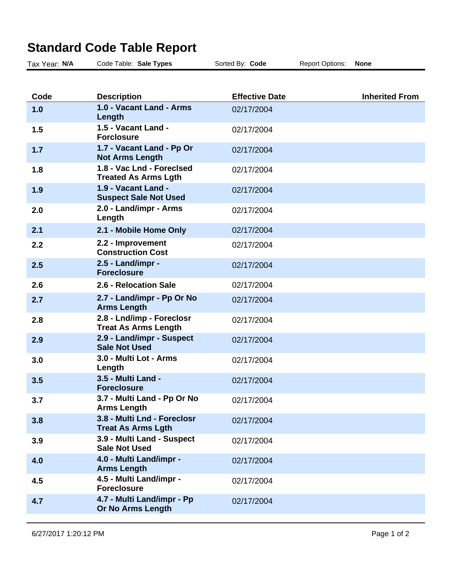| Standard Code Table Report |                                                          |                       |                        |                       |  |  |
|----------------------------|----------------------------------------------------------|-----------------------|------------------------|-----------------------|--|--|
| Tax Year: N/A              | Code Table: Sale Types                                   | Sorted By: Code       | <b>Report Options:</b> | <b>None</b>           |  |  |
|                            |                                                          |                       |                        |                       |  |  |
| Code                       | <b>Description</b>                                       | <b>Effective Date</b> |                        | <b>Inherited From</b> |  |  |
| 1.0                        | 1.0 - Vacant Land - Arms<br>Length                       | 02/17/2004            |                        |                       |  |  |
| 1.5                        | 1.5 - Vacant Land -<br><b>Forclosure</b>                 | 02/17/2004            |                        |                       |  |  |
| 1.7                        | 1.7 - Vacant Land - Pp Or<br><b>Not Arms Length</b>      | 02/17/2004            |                        |                       |  |  |
| 1.8                        | 1.8 - Vac Lnd - Foreclsed<br><b>Treated As Arms Lgth</b> | 02/17/2004            |                        |                       |  |  |
| 1.9                        | 1.9 - Vacant Land -<br><b>Suspect Sale Not Used</b>      | 02/17/2004            |                        |                       |  |  |
| 2.0                        | 2.0 - Land/impr - Arms<br>Length                         | 02/17/2004            |                        |                       |  |  |
| 2.1                        | 2.1 - Mobile Home Only                                   | 02/17/2004            |                        |                       |  |  |
| 2.2                        | 2.2 - Improvement<br><b>Construction Cost</b>            | 02/17/2004            |                        |                       |  |  |
| 2.5                        | 2.5 - Land/impr -<br><b>Foreclosure</b>                  | 02/17/2004            |                        |                       |  |  |
| 2.6                        | 2.6 - Relocation Sale                                    | 02/17/2004            |                        |                       |  |  |
| 2.7                        | 2.7 - Land/impr - Pp Or No<br><b>Arms Length</b>         | 02/17/2004            |                        |                       |  |  |
| 2.8                        | 2.8 - Lnd/imp - Foreclosr<br><b>Treat As Arms Length</b> | 02/17/2004            |                        |                       |  |  |
| 2.9                        | 2.9 - Land/impr - Suspect<br><b>Sale Not Used</b>        | 02/17/2004            |                        |                       |  |  |
| 3.0                        | 3.0 - Multi Lot - Arms<br>Length                         | 02/17/2004            |                        |                       |  |  |
| 3.5                        | 3.5 - Multi Land -<br><b>Foreclosure</b>                 | 02/17/2004            |                        |                       |  |  |
| 3.7                        | 3.7 - Multi Land - Pp Or No<br><b>Arms Length</b>        | 02/17/2004            |                        |                       |  |  |
| 3.8                        | 3.8 - Multi Lnd - Foreclosr<br><b>Treat As Arms Lgth</b> | 02/17/2004            |                        |                       |  |  |

02/17/2004

02/17/2004

02/17/2004

02/17/2004

## **Standard Code Table Report**

**3.9 3.9 - Multi Land - Suspect Sale Not Used**

**Arms Length**

**Foreclosure**

**Or No Arms Length**

**4.7 4.7 - Multi Land/impr - Pp**

**4.0 4.0 - Multi Land/impr -**

**4.5 4.5 - Multi Land/impr -**